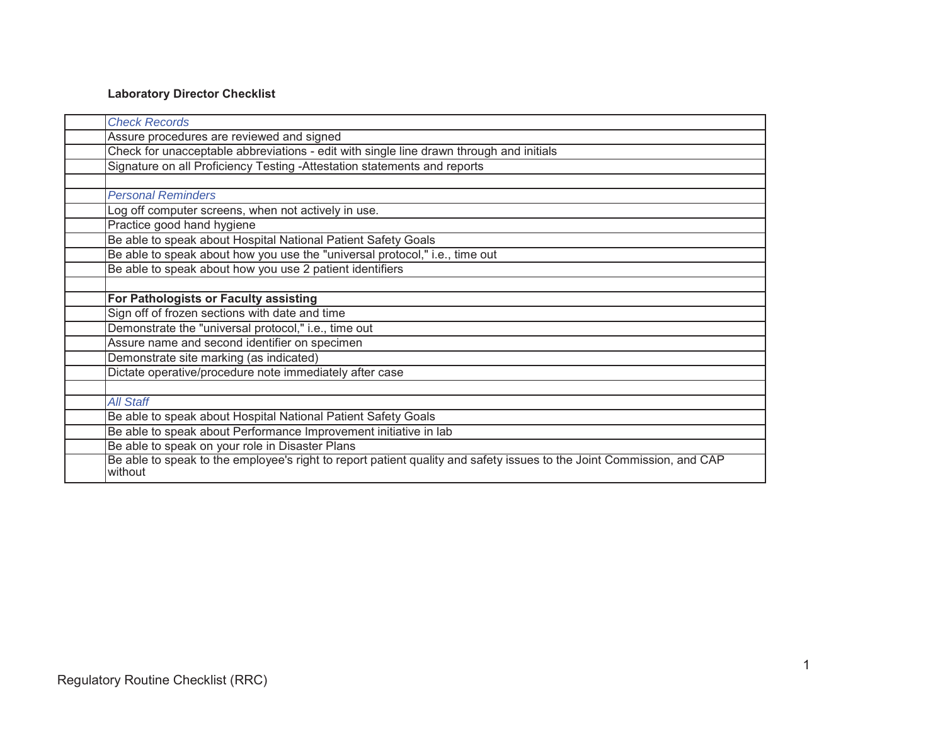# **Laboratory Director Checklist**

| <b>Check Records</b>                                                                                                  |
|-----------------------------------------------------------------------------------------------------------------------|
| Assure procedures are reviewed and signed                                                                             |
| Check for unacceptable abbreviations - edit with single line drawn through and initials                               |
| Signature on all Proficiency Testing -Attestation statements and reports                                              |
|                                                                                                                       |
| <b>Personal Reminders</b>                                                                                             |
| Log off computer screens, when not actively in use.                                                                   |
| Practice good hand hygiene                                                                                            |
| Be able to speak about Hospital National Patient Safety Goals                                                         |
| Be able to speak about how you use the "universal protocol," i.e., time out                                           |
| Be able to speak about how you use 2 patient identifiers                                                              |
|                                                                                                                       |
| For Pathologists or Faculty assisting                                                                                 |
| Sign off of frozen sections with date and time                                                                        |
| Demonstrate the "universal protocol," i.e., time out                                                                  |
| Assure name and second identifier on specimen                                                                         |
| Demonstrate site marking (as indicated)                                                                               |
| Dictate operative/procedure note immediately after case                                                               |
|                                                                                                                       |
| <b>All Staff</b>                                                                                                      |
| Be able to speak about Hospital National Patient Safety Goals                                                         |
| Be able to speak about Performance Improvement initiative in lab                                                      |
| Be able to speak on your role in Disaster Plans                                                                       |
| Be able to speak to the employee's right to report patient quality and safety issues to the Joint Commission, and CAP |
| without                                                                                                               |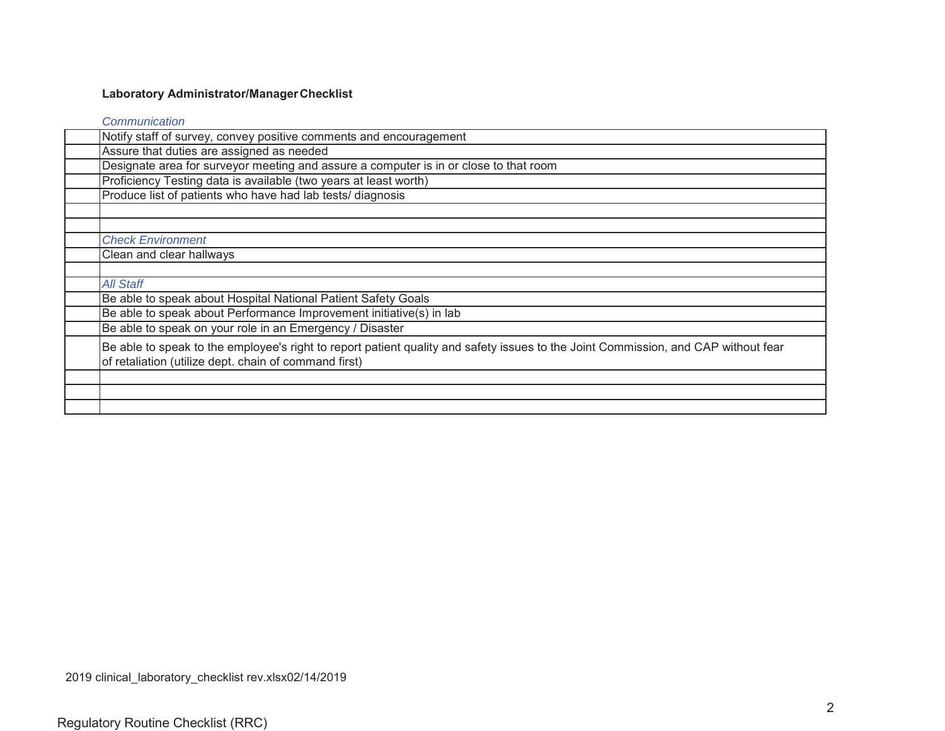### **Laboratory Administrator/Manager Checklist**

*Communication*

| Notify staff of survey, convey positive comments and encouragement                                                                 |
|------------------------------------------------------------------------------------------------------------------------------------|
| Assure that duties are assigned as needed                                                                                          |
| Designate area for surveyor meeting and assure a computer is in or close to that room                                              |
| Proficiency Testing data is available (two years at least worth)                                                                   |
| Produce list of patients who have had lab tests/ diagnosis                                                                         |
|                                                                                                                                    |
|                                                                                                                                    |
| <b>Check Environment</b>                                                                                                           |
| Clean and clear hallways                                                                                                           |
|                                                                                                                                    |
| <b>All Staff</b>                                                                                                                   |
| Be able to speak about Hospital National Patient Safety Goals                                                                      |
| Be able to speak about Performance Improvement initiative(s) in lab                                                                |
| Be able to speak on your role in an Emergency / Disaster                                                                           |
| Be able to speak to the employee's right to report patient quality and safety issues to the Joint Commission, and CAP without fear |
| of retaliation (utilize dept. chain of command first)                                                                              |
|                                                                                                                                    |
|                                                                                                                                    |
|                                                                                                                                    |
|                                                                                                                                    |

2019 clinical\_laboratory\_checklist rev.xlsx02/14/2019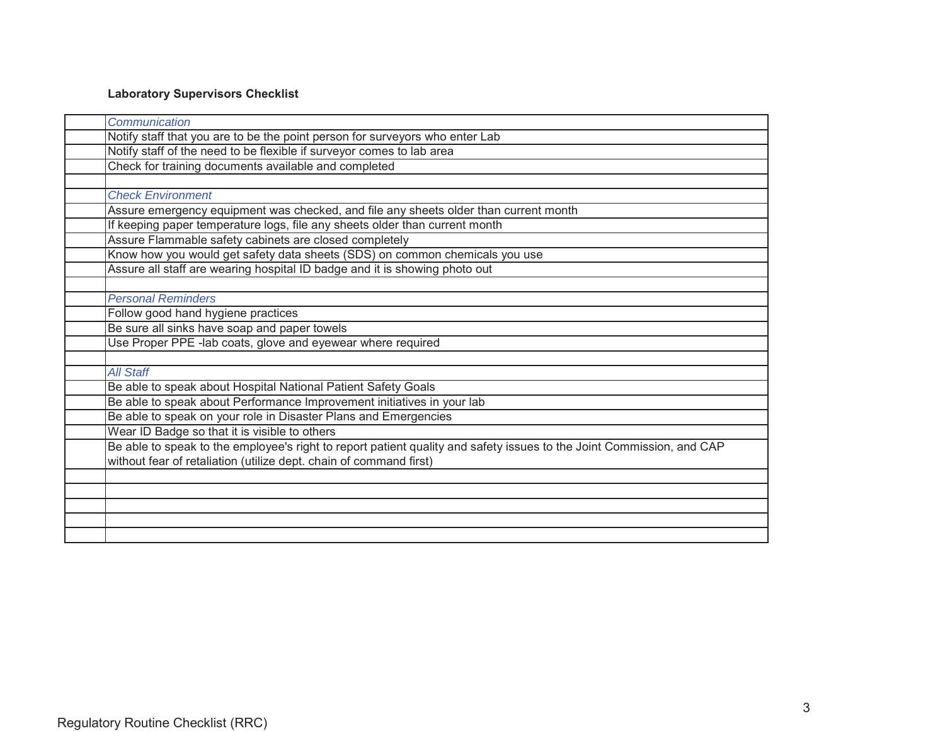# **Laboratory Supervisors Checklist**

| Communication                                                                                                         |
|-----------------------------------------------------------------------------------------------------------------------|
| Notify staff that you are to be the point person for surveyors who enter Lab                                          |
| Notify staff of the need to be flexible if surveyor comes to lab area                                                 |
| Check for training documents available and completed                                                                  |
|                                                                                                                       |
| <b>Check Environment</b>                                                                                              |
| Assure emergency equipment was checked, and file any sheets older than current month                                  |
| If keeping paper temperature logs, file any sheets older than current month                                           |
| Assure Flammable safety cabinets are closed completely                                                                |
| Know how you would get safety data sheets (SDS) on common chemicals you use                                           |
| Assure all staff are wearing hospital ID badge and it is showing photo out                                            |
|                                                                                                                       |
| <b>Personal Reminders</b>                                                                                             |
| Follow good hand hygiene practices                                                                                    |
| Be sure all sinks have soap and paper towels                                                                          |
| Use Proper PPE -lab coats, glove and eyewear where required                                                           |
|                                                                                                                       |
| <b>All Staff</b>                                                                                                      |
| Be able to speak about Hospital National Patient Safety Goals                                                         |
| Be able to speak about Performance Improvement initiatives in your lab                                                |
| Be able to speak on your role in Disaster Plans and Emergencies                                                       |
| Wear ID Badge so that it is visible to others                                                                         |
| Be able to speak to the employee's right to report patient quality and safety issues to the Joint Commission, and CAP |
| without fear of retaliation (utilize dept. chain of command first)                                                    |
|                                                                                                                       |
|                                                                                                                       |
|                                                                                                                       |
|                                                                                                                       |
|                                                                                                                       |
|                                                                                                                       |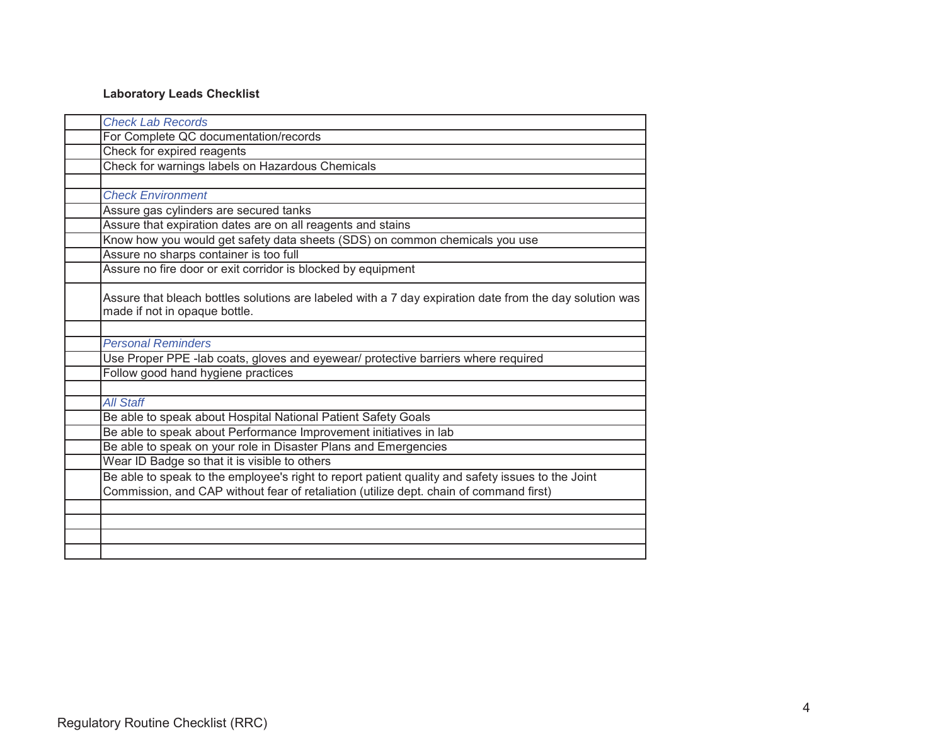# **Laboratory Leads Checklist**

| <b>Check Lab Records</b>                                                                                                                 |
|------------------------------------------------------------------------------------------------------------------------------------------|
| For Complete QC documentation/records                                                                                                    |
| Check for expired reagents                                                                                                               |
| Check for warnings labels on Hazardous Chemicals                                                                                         |
|                                                                                                                                          |
| <b>Check Environment</b>                                                                                                                 |
| Assure gas cylinders are secured tanks                                                                                                   |
| Assure that expiration dates are on all reagents and stains                                                                              |
| Know how you would get safety data sheets (SDS) on common chemicals you use                                                              |
| Assure no sharps container is too full                                                                                                   |
| Assure no fire door or exit corridor is blocked by equipment                                                                             |
| Assure that bleach bottles solutions are labeled with a 7 day expiration date from the day solution was<br>made if not in opaque bottle. |
|                                                                                                                                          |
| <b>Personal Reminders</b>                                                                                                                |
| Use Proper PPE -lab coats, gloves and eyewear/ protective barriers where required                                                        |
| Follow good hand hygiene practices                                                                                                       |
| <b>All Staff</b>                                                                                                                         |
| Be able to speak about Hospital National Patient Safety Goals                                                                            |
| Be able to speak about Performance Improvement initiatives in lab                                                                        |
| Be able to speak on your role in Disaster Plans and Emergencies                                                                          |
| Wear ID Badge so that it is visible to others                                                                                            |
| Be able to speak to the employee's right to report patient quality and safety issues to the Joint                                        |
| Commission, and CAP without fear of retaliation (utilize dept. chain of command first)                                                   |
|                                                                                                                                          |
|                                                                                                                                          |
|                                                                                                                                          |
|                                                                                                                                          |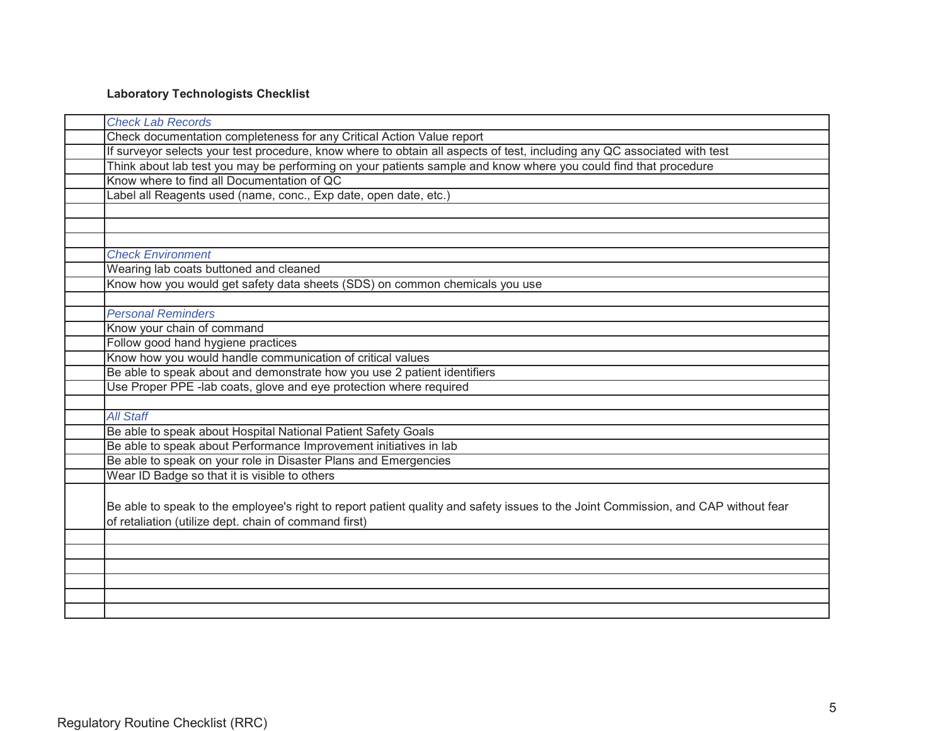# **Laboratory Technologists Checklist**

| <b>Check Lab Records</b>                                                                                                           |
|------------------------------------------------------------------------------------------------------------------------------------|
| Check documentation completeness for any Critical Action Value report                                                              |
| If surveyor selects your test procedure, know where to obtain all aspects of test, including any QC associated with test           |
| Think about lab test you may be performing on your patients sample and know where you could find that procedure                    |
| Know where to find all Documentation of QC                                                                                         |
| Label all Reagents used (name, conc., Exp date, open date, etc.)                                                                   |
|                                                                                                                                    |
|                                                                                                                                    |
|                                                                                                                                    |
| <b>Check Environment</b>                                                                                                           |
| Wearing lab coats buttoned and cleaned                                                                                             |
| Know how you would get safety data sheets (SDS) on common chemicals you use                                                        |
|                                                                                                                                    |
| <b>Personal Reminders</b>                                                                                                          |
| Know your chain of command                                                                                                         |
| Follow good hand hygiene practices                                                                                                 |
| Know how you would handle communication of critical values                                                                         |
| Be able to speak about and demonstrate how you use 2 patient identifiers                                                           |
| Use Proper PPE -lab coats, glove and eye protection where required                                                                 |
|                                                                                                                                    |
| <b>All Staff</b>                                                                                                                   |
| Be able to speak about Hospital National Patient Safety Goals                                                                      |
| Be able to speak about Performance Improvement initiatives in lab                                                                  |
| Be able to speak on your role in Disaster Plans and Emergencies                                                                    |
| Wear ID Badge so that it is visible to others                                                                                      |
|                                                                                                                                    |
| Be able to speak to the employee's right to report patient quality and safety issues to the Joint Commission, and CAP without fear |
| of retaliation (utilize dept. chain of command first)                                                                              |
|                                                                                                                                    |
|                                                                                                                                    |
|                                                                                                                                    |
|                                                                                                                                    |
|                                                                                                                                    |
|                                                                                                                                    |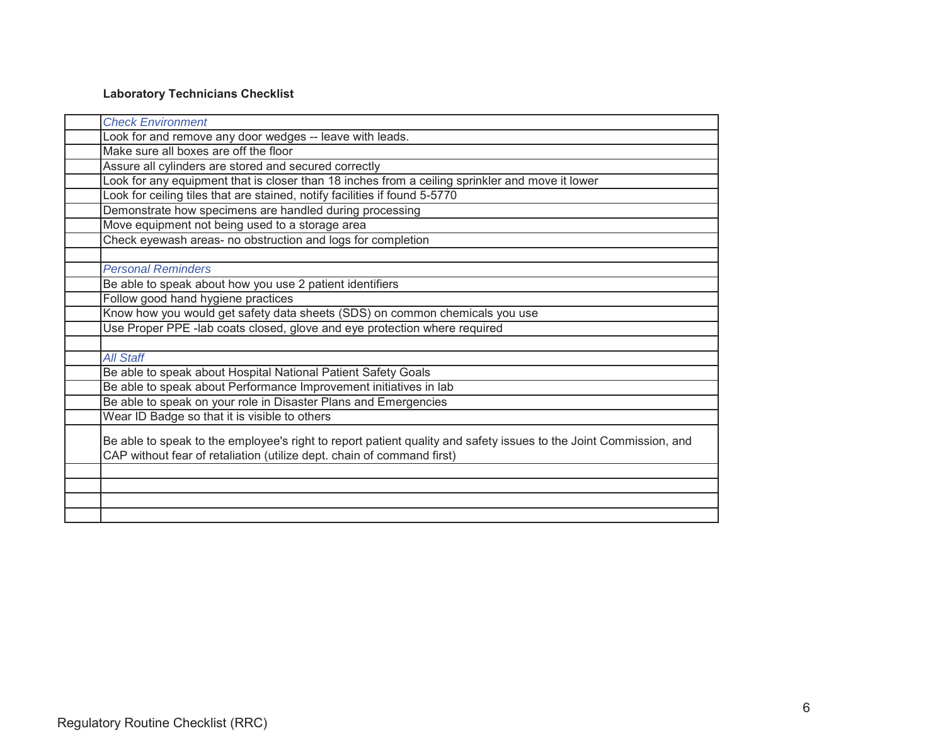# **Laboratory Technicians Checklist**

| <b>Check Environment</b>                                                                                                                                                                    |
|---------------------------------------------------------------------------------------------------------------------------------------------------------------------------------------------|
| Look for and remove any door wedges -- leave with leads.                                                                                                                                    |
| Make sure all boxes are off the floor                                                                                                                                                       |
| Assure all cylinders are stored and secured correctly                                                                                                                                       |
| Look for any equipment that is closer than 18 inches from a ceiling sprinkler and move it lower                                                                                             |
| Look for ceiling tiles that are stained, notify facilities if found 5-5770                                                                                                                  |
| Demonstrate how specimens are handled during processing                                                                                                                                     |
| Move equipment not being used to a storage area                                                                                                                                             |
| Check eyewash areas- no obstruction and logs for completion                                                                                                                                 |
|                                                                                                                                                                                             |
| <b>Personal Reminders</b>                                                                                                                                                                   |
| Be able to speak about how you use 2 patient identifiers                                                                                                                                    |
| Follow good hand hygiene practices                                                                                                                                                          |
| Know how you would get safety data sheets (SDS) on common chemicals you use                                                                                                                 |
| Use Proper PPE -lab coats closed, glove and eye protection where required                                                                                                                   |
|                                                                                                                                                                                             |
| <b>All Staff</b>                                                                                                                                                                            |
| Be able to speak about Hospital National Patient Safety Goals                                                                                                                               |
| Be able to speak about Performance Improvement initiatives in lab                                                                                                                           |
| Be able to speak on your role in Disaster Plans and Emergencies                                                                                                                             |
| Wear ID Badge so that it is visible to others                                                                                                                                               |
|                                                                                                                                                                                             |
|                                                                                                                                                                                             |
|                                                                                                                                                                                             |
|                                                                                                                                                                                             |
|                                                                                                                                                                                             |
|                                                                                                                                                                                             |
| Be able to speak to the employee's right to report patient quality and safety issues to the Joint Commission, and<br>CAP without fear of retaliation (utilize dept. chain of command first) |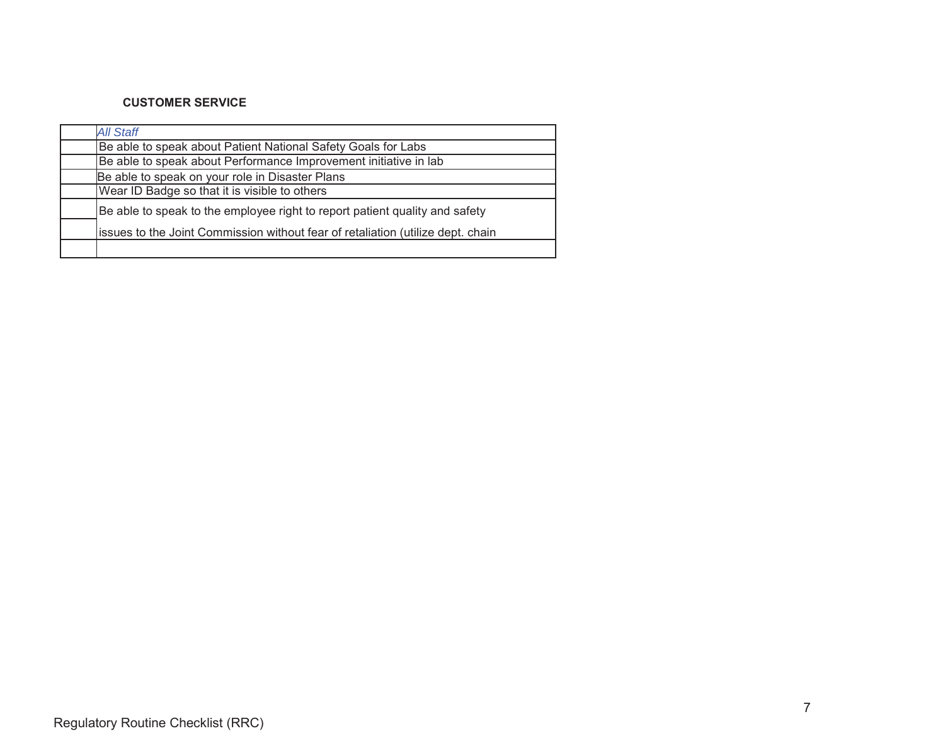### **CUSTOMER SERVICE**

| <b>All Staff</b>                                                                |
|---------------------------------------------------------------------------------|
| Be able to speak about Patient National Safety Goals for Labs                   |
| Be able to speak about Performance Improvement initiative in lab                |
| Be able to speak on your role in Disaster Plans                                 |
| Wear ID Badge so that it is visible to others                                   |
| Be able to speak to the employee right to report patient quality and safety     |
| issues to the Joint Commission without fear of retaliation (utilize dept. chain |
|                                                                                 |